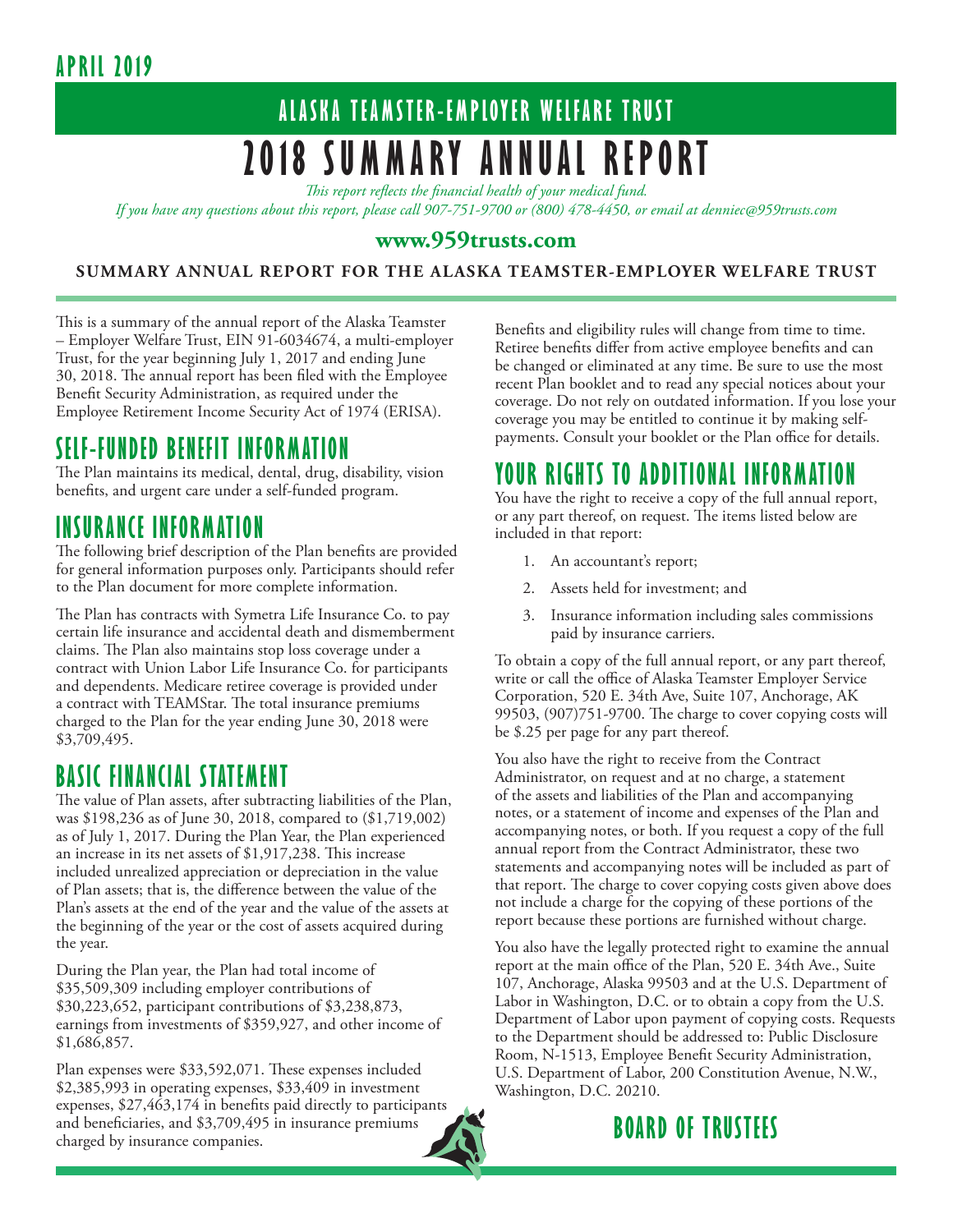## **APRIL 2019**

# **ALASKA TEAMSTER-EMPLOYER WELFARE TRUST 2018 SUMMARY ANNUAL REPORT**

*This report reflects the financial health of your medical fund.* 

*If you have any questions about this report, please call 907-751-9700 or (800) 478-4450, or email at denniec@959trusts.com* 

### **www.959trusts.com**

**SUMMARY ANNUAL REPORT FOR THE ALASKA TEAMSTER-EMPLOYER WELFARE TRUST**

This is a summary of the annual report of the Alaska Teamster – Employer Welfare Trust, EIN 91-6034674, a multi-employer Trust, for the year beginning July 1, 2017 and ending June 30, 2018. The annual report has been filed with the Employee Benefit Security Administration, as required under the Employee Retirement Income Security Act of 1974 (ERISA).

## **SELF-FUNDED BENEFIT INFORMATION**

The Plan maintains its medical, dental, drug, disability, vision benefits, and urgent care under a self-funded program.

## **INSURANCE INFORMATION**

The following brief description of the Plan benefits are provided for general information purposes only. Participants should refer to the Plan document for more complete information.

The Plan has contracts with Symetra Life Insurance Co. to pay certain life insurance and accidental death and dismemberment claims. The Plan also maintains stop loss coverage under a contract with Union Labor Life Insurance Co. for participants and dependents. Medicare retiree coverage is provided under a contract with TEAMStar. The total insurance premiums charged to the Plan for the year ending June 30, 2018 were \$3,709,495.

## **BASIC FINANCIAL STATEMENT**

The value of Plan assets, after subtracting liabilities of the Plan, was \$198,236 as of June 30, 2018, compared to (\$1,719,002) as of July 1, 2017. During the Plan Year, the Plan experienced an increase in its net assets of \$1,917,238. This increase included unrealized appreciation or depreciation in the value of Plan assets; that is, the difference between the value of the Plan's assets at the end of the year and the value of the assets at the beginning of the year or the cost of assets acquired during the year.

During the Plan year, the Plan had total income of \$35,509,309 including employer contributions of \$30,223,652, participant contributions of \$3,238,873, earnings from investments of \$359,927, and other income of \$1,686,857.

Plan expenses were \$33,592,071. These expenses included  $$2,385,993$  in operating expenses,  $$33,409$  in investment expenses, \$27,463,174 in benefits paid directly to participants and beneficiaries, and \$3,709,495 in insurance premiums charged by insurance companies.

Benefits and eligibility rules will change from time to time. Retiree benefits differ from active employee benefits and can be changed or eliminated at any time. Be sure to use the most recent Plan booklet and to read any special notices about your coverage. Do not rely on outdated information. If you lose your coverage you may be entitled to continue it by making selfpayments. Consult your booklet or the Plan office for details.

## **YOUR RIGHTS TO ADDITIONAL INFORMATION**

You have the right to receive a copy of the full annual report, or any part thereof, on request. The items listed below are included in that report:

- 1. An accountant's report;
- 2. Assets held for investment; and
- 3. Insurance information including sales commissions paid by insurance carriers.

To obtain a copy of the full annual report, or any part thereof, write or call the office of Alaska Teamster Employer Service Corporation, 520 E. 34th Ave, Suite 107, Anchorage, AK 99503, (907)751-9700. The charge to cover copying costs will be \$.25 per page for any part thereof.

You also have the right to receive from the Contract Administrator, on request and at no charge, a statement of the assets and liabilities of the Plan and accompanying notes, or a statement of income and expenses of the Plan and accompanying notes, or both. If you request a copy of the full annual report from the Contract Administrator, these two statements and accompanying notes will be included as part of that report. The charge to cover copying costs given above does not include a charge for the copying of these portions of the report because these portions are furnished without charge.

You also have the legally protected right to examine the annual report at the main office of the Plan, 520 E. 34th Ave., Suite 107, Anchorage, Alaska 99503 and at the U.S. Department of Labor in Washington, D.C. or to obtain a copy from the U.S. Department of Labor upon payment of copying costs. Requests to the Department should be addressed to: Public Disclosure Room, N-1513, Employee Benefit Security Administration, U.S. Department of Labor, 200 Constitution Avenue, N.W., Washington, D.C. 20210.



## **BOARD OF TRUSTEES**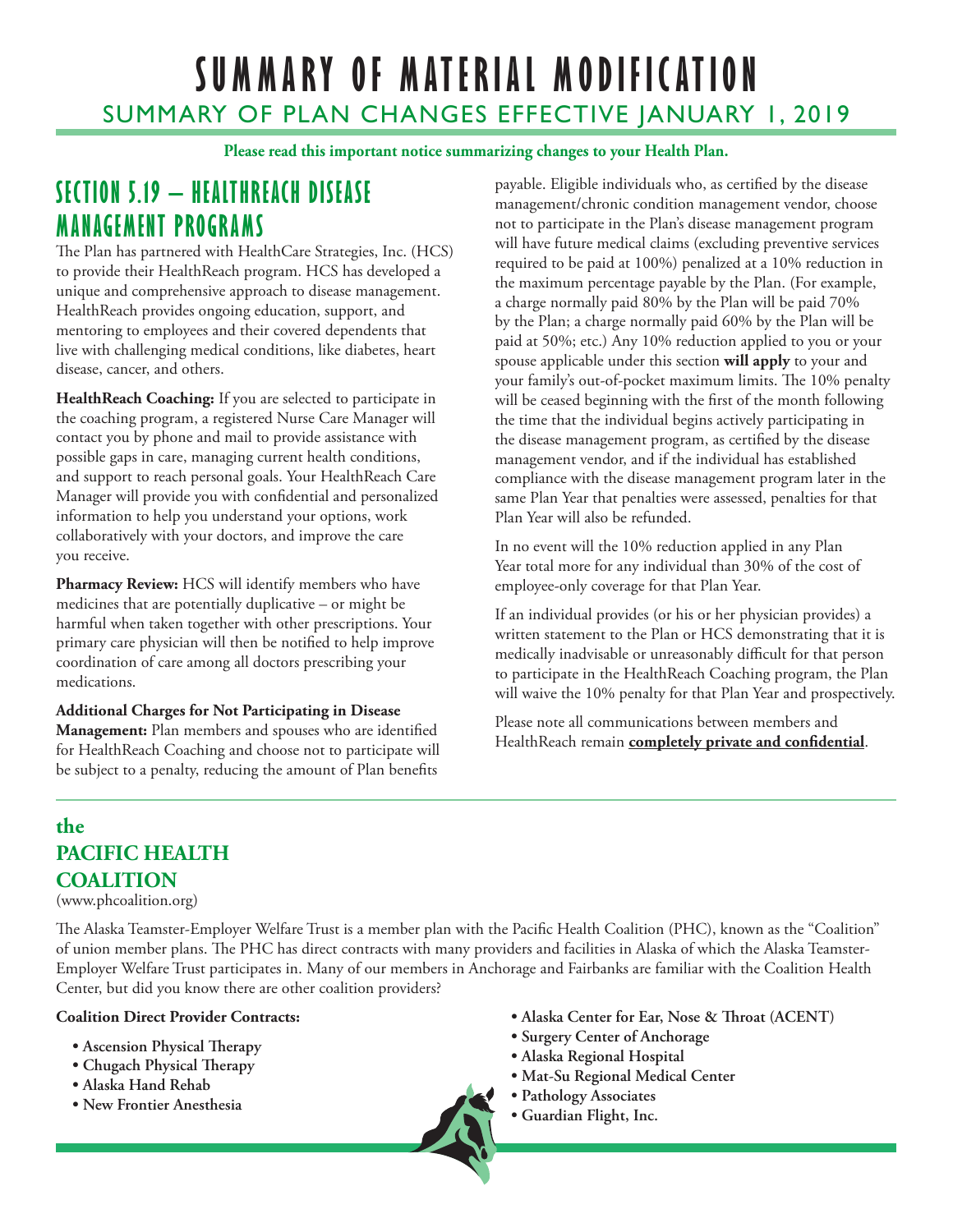# **SUMMARY OF MATERIAL MODIFICATION** SUMMARY OF PLAN CHANGES EFFECTIVE JANUARY 1, 2019

**Please read this important notice summarizing changes to your Health Plan.**

## **SECTION 5.19 – HEALTHREACH DISEASE MANAGEMENT PROGRAMS**

The Plan has partnered with HealthCare Strategies, Inc. (HCS) to provide their HealthReach program. HCS has developed a unique and comprehensive approach to disease management. HealthReach provides ongoing education, support, and mentoring to employees and their covered dependents that live with challenging medical conditions, like diabetes, heart disease, cancer, and others.

**HealthReach Coaching:** If you are selected to participate in the coaching program, a registered Nurse Care Manager will contact you by phone and mail to provide assistance with possible gaps in care, managing current health conditions, and support to reach personal goals. Your HealthReach Care Manager will provide you with confidential and personalized information to help you understand your options, work collaboratively with your doctors, and improve the care you receive.

Pharmacy Review: HCS will identify members who have medicines that are potentially duplicative – or might be harmful when taken together with other prescriptions. Your primary care physician will then be notified to help improve coordination of care among all doctors prescribing your medications.

**Additional Charges for Not Participating in Disease** 

**Management:** Plan members and spouses who are identified for HealthReach Coaching and choose not to participate will be subject to a penalty, reducing the amount of Plan benefits

payable. Eligible individuals who, as certified by the disease management/chronic condition management vendor, choose not to participate in the Plan's disease management program will have future medical claims (excluding preventive services required to be paid at 100%) penalized at a 10% reduction in the maximum percentage payable by the Plan. (For example, a charge normally paid 80% by the Plan will be paid 70% by the Plan; a charge normally paid 60% by the Plan will be paid at 50%; etc.) Any 10% reduction applied to you or your spouse applicable under this section **will apply** to your and your family's out-of-pocket maximum limits. The 10% penalty will be ceased beginning with the first of the month following the time that the individual begins actively participating in the disease management program, as certified by the disease management vendor, and if the individual has established compliance with the disease management program later in the same Plan Year that penalties were assessed, penalties for that Plan Year will also be refunded.

In no event will the 10% reduction applied in any Plan Year total more for any individual than 30% of the cost of employee-only coverage for that Plan Year.

If an individual provides (or his or her physician provides) a written statement to the Plan or HCS demonstrating that it is medically inadvisable or unreasonably difficult for that person to participate in the HealthReach Coaching program, the Plan will waive the 10% penalty for that Plan Year and prospectively.

Please note all communications between members and HealthReach remain **completely private and confidential**.

### **the**

### **PACIFIC HEALTH COALITION**  (www.phcoalition.org)

The Alaska Teamster-Employer Welfare Trust is a member plan with the Pacific Health Coalition (PHC), known as the "Coalition" of union member plans. The PHC has direct contracts with many providers and facilities in Alaska of which the Alaska Teamster-Employer Welfare Trust participates in. Many of our members in Anchorage and Fairbanks are familiar with the Coalition Health Center, but did you know there are other coalition providers?

### **Coalition Direct Provider Contracts:**

- **Ascension Physical Therapy**
- **Chugach Physical Therapy**
- **Alaska Hand Rehab**
- **New Frontier Anesthesia**
- **Alaska Center for Ear, Nose & Throat (ACENT)**
- **Surgery Center of Anchorage**
- **Alaska Regional Hospital**
- **Mat-Su Regional Medical Center**
- **Pathology Associates**
- **Guardian Flight, Inc.**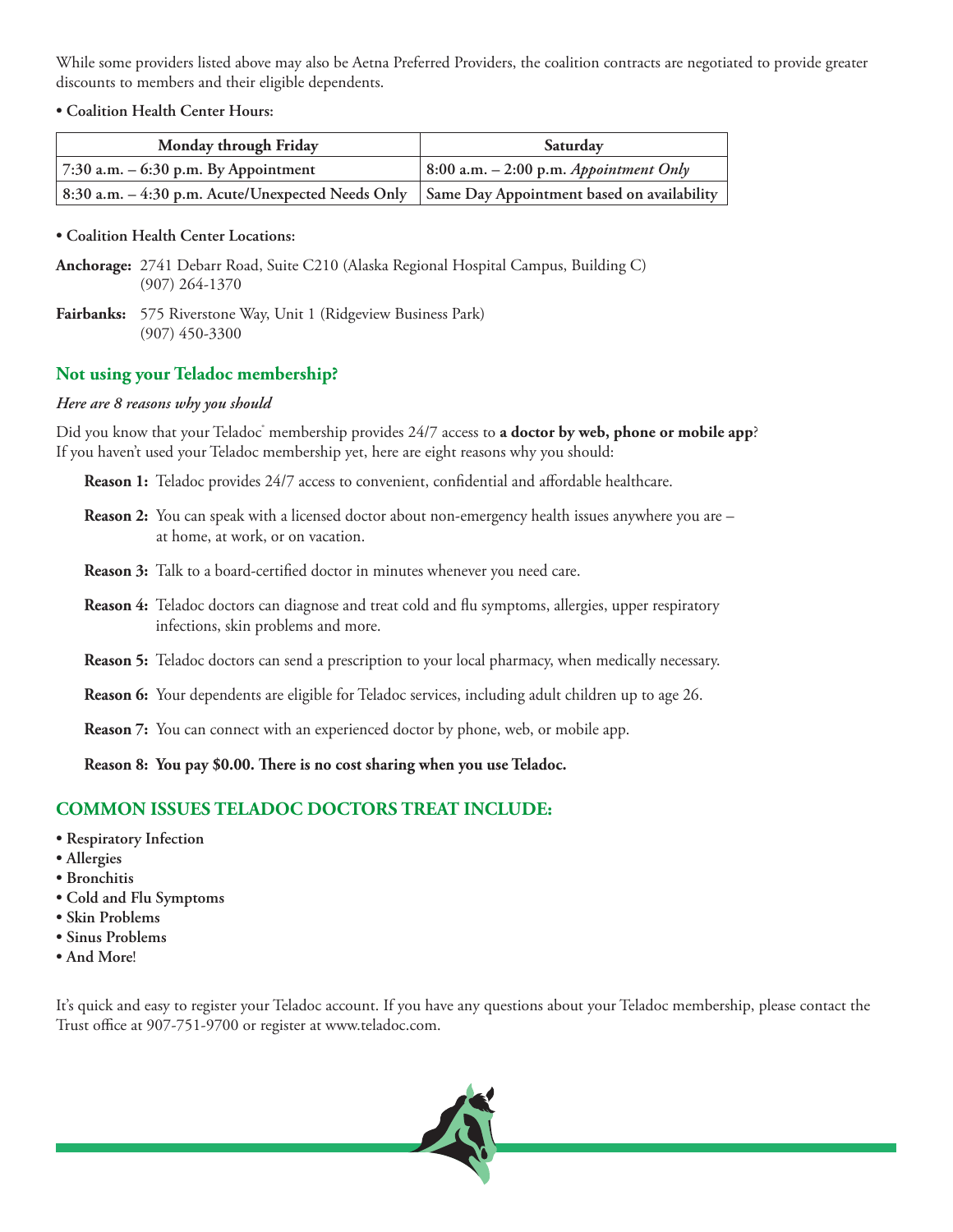While some providers listed above may also be Aetna Preferred Providers, the coalition contracts are negotiated to provide greater discounts to members and their eligible dependents.

**• Coalition Health Center Hours:** 

| Monday through Friday                                                                        | Saturday                                 |
|----------------------------------------------------------------------------------------------|------------------------------------------|
| 7:30 a.m. $-6:30$ p.m. By Appointment                                                        | 8:00 a.m. $-$ 2:00 p.m. Appointment Only |
| 8:30 a.m. – 4:30 p.m. Acute/Unexpected Needs Only Same Day Appointment based on availability |                                          |

#### **• Coalition Health Center Locations:**

- **Anchorage:** 2741 Debarr Road, Suite C210 (Alaska Regional Hospital Campus, Building C) (907) 264-1370
- **Fairbanks:** 575 Riverstone Way, Unit 1 (Ridgeview Business Park) (907) 450-3300

#### **Not using your Teladoc membership?**

#### *Here are 8 reasons why you should*

Did you know that your Teladoc<sup>'</sup> membership provides 24/7 access to **a doctor by web, phone or mobile app**? If you haven't used your Teladoc membership yet, here are eight reasons why you should:

**Reason 1:** Teladoc provides 24/7 access to convenient, confidential and affordable healthcare.

- **Reason 2:** You can speak with a licensed doctor about non-emergency health issues anywhere you are at home, at work, or on vacation.
- **Reason 3:** Talk to a board-certified doctor in minutes whenever you need care.
- **Reason 4:** Teladoc doctors can diagnose and treat cold and flu symptoms, allergies, upper respiratory infections, skin problems and more.
- **Reason 5:** Teladoc doctors can send a prescription to your local pharmacy, when medically necessary.
- **Reason 6:** Your dependents are eligible for Teladoc services, including adult children up to age 26.
- **Reason 7:** You can connect with an experienced doctor by phone, web, or mobile app.

**Reason 8: You pay \$0.00. There is no cost sharing when you use Teladoc.** 

### **COMMON ISSUES TELADOC DOCTORS TREAT INCLUDE:**

- **Respiratory Infection**
- **Allergies**
- **Bronchitis**
- **Cold and Flu Symptoms**
- **Skin Problems**
- **Sinus Problems**
- **And More**!

It's quick and easy to register your Teladoc account. If you have any questions about your Teladoc membership, please contact the Trust office at 907-751-9700 or register at www.teladoc.com.